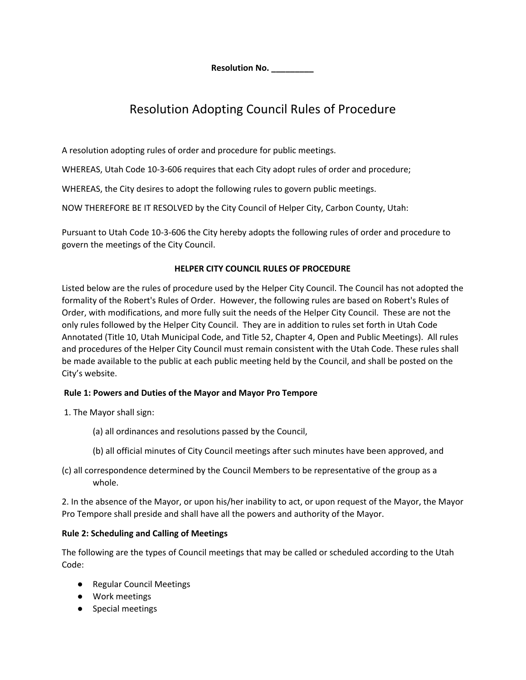**Resolution No. \_\_\_\_\_\_\_\_\_**

# Resolution Adopting Council Rules of Procedure

A resolution adopting rules of order and procedure for public meetings.

WHEREAS, Utah Code 10-3-606 requires that each City adopt rules of order and procedure;

WHEREAS, the City desires to adopt the following rules to govern public meetings.

NOW THEREFORE BE IT RESOLVED by the City Council of Helper City, Carbon County, Utah:

Pursuant to Utah Code 10-3-606 the City hereby adopts the following rules of order and procedure to govern the meetings of the City Council.

# **HELPER CITY COUNCIL RULES OF PROCEDURE**

Listed below are the rules of procedure used by the Helper City Council. The Council has not adopted the formality of the Robert's Rules of Order. However, the following rules are based on Robert's Rules of Order, with modifications, and more fully suit the needs of the Helper City Council. These are not the only rules followed by the Helper City Council. They are in addition to rules set forth in Utah Code Annotated (Title 10, Utah Municipal Code, and Title 52, Chapter 4, Open and Public Meetings). All rules and procedures of the Helper City Council must remain consistent with the Utah Code. These rules shall be made available to the public at each public meeting held by the Council, and shall be posted on the City's website.

#### **Rule 1: Powers and Duties of the Mayor and Mayor Pro Tempore**

- 1. The Mayor shall sign:
	- (a) all ordinances and resolutions passed by the Council,
	- (b) all official minutes of City Council meetings after such minutes have been approved, and
- (c) all correspondence determined by the Council Members to be representative of the group as a whole.

2. In the absence of the Mayor, or upon his/her inability to act, or upon request of the Mayor, the Mayor Pro Tempore shall preside and shall have all the powers and authority of the Mayor.

#### **Rule 2: Scheduling and Calling of Meetings**

The following are the types of Council meetings that may be called or scheduled according to the Utah Code:

- Regular Council Meetings
- Work meetings
- Special meetings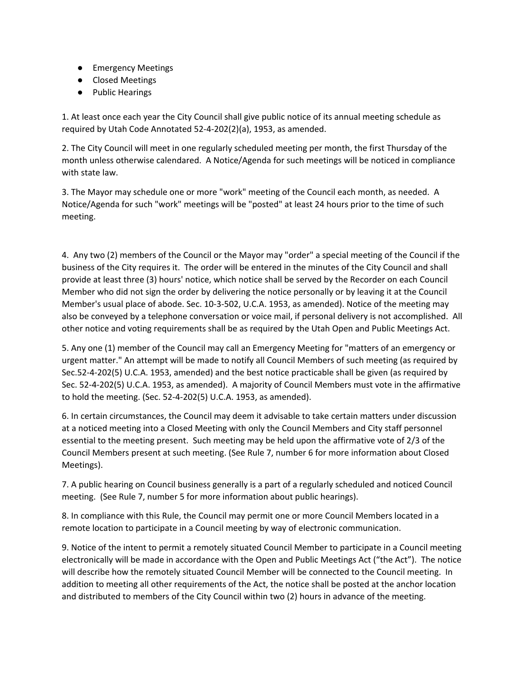- Emergency Meetings
- Closed Meetings
- Public Hearings

1. At least once each year the City Council shall give public notice of its annual meeting schedule as required by Utah Code Annotated 52-4-202(2)(a), 1953, as amended.

2. The City Council will meet in one regularly scheduled meeting per month, the first Thursday of the month unless otherwise calendared. A Notice/Agenda for such meetings will be noticed in compliance with state law.

3. The Mayor may schedule one or more "work" meeting of the Council each month, as needed. A Notice/Agenda for such "work" meetings will be "posted" at least 24 hours prior to the time of such meeting.

4. Any two (2) members of the Council or the Mayor may "order" a special meeting of the Council if the business of the City requires it. The order will be entered in the minutes of the City Council and shall provide at least three (3) hours' notice, which notice shall be served by the Recorder on each Council Member who did not sign the order by delivering the notice personally or by leaving it at the Council Member's usual place of abode. Sec. 10-3-502, U.C.A. 1953, as amended). Notice of the meeting may also be conveyed by a telephone conversation or voice mail, if personal delivery is not accomplished. All other notice and voting requirements shall be as required by the Utah Open and Public Meetings Act.

5. Any one (1) member of the Council may call an Emergency Meeting for "matters of an emergency or urgent matter." An attempt will be made to notify all Council Members of such meeting (as required by Sec.52-4-202(5) U.C.A. 1953, amended) and the best notice practicable shall be given (as required by Sec. 52-4-202(5) U.C.A. 1953, as amended). A majority of Council Members must vote in the affirmative to hold the meeting. (Sec. 52-4-202(5) U.C.A. 1953, as amended).

6. In certain circumstances, the Council may deem it advisable to take certain matters under discussion at a noticed meeting into a Closed Meeting with only the Council Members and City staff personnel essential to the meeting present. Such meeting may be held upon the affirmative vote of 2/3 of the Council Members present at such meeting. (See Rule 7, number 6 for more information about Closed Meetings).

7. A public hearing on Council business generally is a part of a regularly scheduled and noticed Council meeting. (See Rule 7, number 5 for more information about public hearings).

8. In compliance with this Rule, the Council may permit one or more Council Members located in a remote location to participate in a Council meeting by way of electronic communication.

9. Notice of the intent to permit a remotely situated Council Member to participate in a Council meeting electronically will be made in accordance with the Open and Public Meetings Act ("the Act"). The notice will describe how the remotely situated Council Member will be connected to the Council meeting. In addition to meeting all other requirements of the Act, the notice shall be posted at the anchor location and distributed to members of the City Council within two (2) hours in advance of the meeting.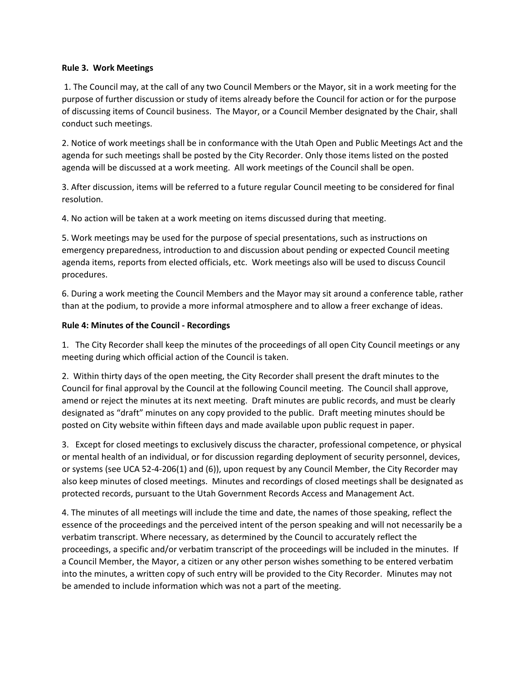#### **Rule 3. Work Meetings**

1. The Council may, at the call of any two Council Members or the Mayor, sit in a work meeting for the purpose of further discussion or study of items already before the Council for action or for the purpose of discussing items of Council business. The Mayor, or a Council Member designated by the Chair, shall conduct such meetings.

2. Notice of work meetings shall be in conformance with the Utah Open and Public Meetings Act and the agenda for such meetings shall be posted by the City Recorder. Only those items listed on the posted agenda will be discussed at a work meeting. All work meetings of the Council shall be open.

3. After discussion, items will be referred to a future regular Council meeting to be considered for final resolution.

4. No action will be taken at a work meeting on items discussed during that meeting.

5. Work meetings may be used for the purpose of special presentations, such as instructions on emergency preparedness, introduction to and discussion about pending or expected Council meeting agenda items, reports from elected officials, etc. Work meetings also will be used to discuss Council procedures.

6. During a work meeting the Council Members and the Mayor may sit around a conference table, rather than at the podium, to provide a more informal atmosphere and to allow a freer exchange of ideas.

# **Rule 4: Minutes of the Council - Recordings**

1. The City Recorder shall keep the minutes of the proceedings of all open City Council meetings or any meeting during which official action of the Council is taken.

2. Within thirty days of the open meeting, the City Recorder shall present the draft minutes to the Council for final approval by the Council at the following Council meeting. The Council shall approve, amend or reject the minutes at its next meeting. Draft minutes are public records, and must be clearly designated as "draft" minutes on any copy provided to the public. Draft meeting minutes should be posted on City website within fifteen days and made available upon public request in paper.

3. Except for closed meetings to exclusively discuss the character, professional competence, or physical or mental health of an individual, or for discussion regarding deployment of security personnel, devices, or systems (see UCA 52-4-206(1) and (6)), upon request by any Council Member, the City Recorder may also keep minutes of closed meetings. Minutes and recordings of closed meetings shall be designated as protected records, pursuant to the Utah Government Records Access and Management Act.

4. The minutes of all meetings will include the time and date, the names of those speaking, reflect the essence of the proceedings and the perceived intent of the person speaking and will not necessarily be a verbatim transcript. Where necessary, as determined by the Council to accurately reflect the proceedings, a specific and/or verbatim transcript of the proceedings will be included in the minutes. If a Council Member, the Mayor, a citizen or any other person wishes something to be entered verbatim into the minutes, a written copy of such entry will be provided to the City Recorder. Minutes may not be amended to include information which was not a part of the meeting.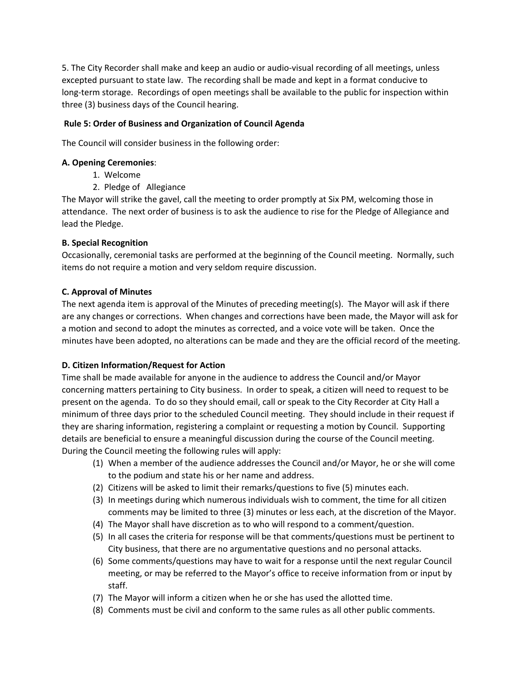5. The City Recorder shall make and keep an audio or audio-visual recording of all meetings, unless excepted pursuant to state law. The recording shall be made and kept in a format conducive to long-term storage. Recordings of open meetings shall be available to the public for inspection within three (3) business days of the Council hearing.

## **Rule 5: Order of Business and Organization of Council Agenda**

The Council will consider business in the following order:

## **A. Opening Ceremonies**:

- 1. Welcome
- 2. Pledge of Allegiance

The Mayor will strike the gavel, call the meeting to order promptly at Six PM, welcoming those in attendance. The next order of business is to ask the audience to rise for the Pledge of Allegiance and lead the Pledge.

# **B. Special Recognition**

Occasionally, ceremonial tasks are performed at the beginning of the Council meeting. Normally, such items do not require a motion and very seldom require discussion.

# **C. Approval of Minutes**

The next agenda item is approval of the Minutes of preceding meeting(s). The Mayor will ask if there are any changes or corrections. When changes and corrections have been made, the Mayor will ask for a motion and second to adopt the minutes as corrected, and a voice vote will be taken. Once the minutes have been adopted, no alterations can be made and they are the official record of the meeting.

# **D. Citizen Information/Request for Action**

Time shall be made available for anyone in the audience to address the Council and/or Mayor concerning matters pertaining to City business. In order to speak, a citizen will need to request to be present on the agenda. To do so they should email, call or speak to the City Recorder at City Hall a minimum of three days prior to the scheduled Council meeting. They should include in their request if they are sharing information, registering a complaint or requesting a motion by Council. Supporting details are beneficial to ensure a meaningful discussion during the course of the Council meeting. During the Council meeting the following rules will apply:

- (1) When a member of the audience addresses the Council and/or Mayor, he or she will come to the podium and state his or her name and address.
- (2) Citizens will be asked to limit their remarks/questions to five (5) minutes each.
- (3) In meetings during which numerous individuals wish to comment, the time for all citizen comments may be limited to three (3) minutes or less each, at the discretion of the Mayor.
- (4) The Mayor shall have discretion as to who will respond to a comment/question.
- (5) In all cases the criteria for response will be that comments/questions must be pertinent to City business, that there are no argumentative questions and no personal attacks.
- (6) Some comments/questions may have to wait for a response until the next regular Council meeting, or may be referred to the Mayor's office to receive information from or input by staff.
- (7) The Mayor will inform a citizen when he or she has used the allotted time.
- (8) Comments must be civil and conform to the same rules as all other public comments.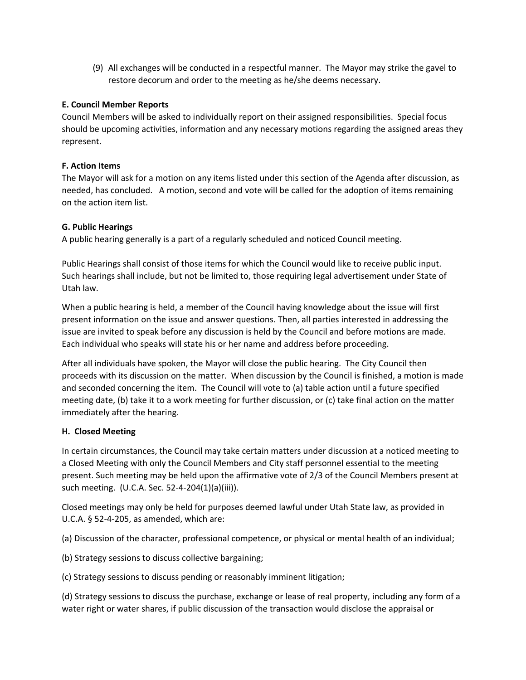(9) All exchanges will be conducted in a respectful manner. The Mayor may strike the gavel to restore decorum and order to the meeting as he/she deems necessary.

# **E. Council Member Reports**

Council Members will be asked to individually report on their assigned responsibilities. Special focus should be upcoming activities, information and any necessary motions regarding the assigned areas they represent.

# **F. Action Items**

The Mayor will ask for a motion on any items listed under this section of the Agenda after discussion, as needed, has concluded. A motion, second and vote will be called for the adoption of items remaining on the action item list.

# **G. Public Hearings**

A public hearing generally is a part of a regularly scheduled and noticed Council meeting.

Public Hearings shall consist of those items for which the Council would like to receive public input. Such hearings shall include, but not be limited to, those requiring legal advertisement under State of Utah law.

When a public hearing is held, a member of the Council having knowledge about the issue will first present information on the issue and answer questions. Then, all parties interested in addressing the issue are invited to speak before any discussion is held by the Council and before motions are made. Each individual who speaks will state his or her name and address before proceeding.

After all individuals have spoken, the Mayor will close the public hearing. The City Council then proceeds with its discussion on the matter. When discussion by the Council is finished, a motion is made and seconded concerning the item. The Council will vote to (a) table action until a future specified meeting date, (b) take it to a work meeting for further discussion, or (c) take final action on the matter immediately after the hearing.

#### **H. Closed Meeting**

In certain circumstances, the Council may take certain matters under discussion at a noticed meeting to a Closed Meeting with only the Council Members and City staff personnel essential to the meeting present. Such meeting may be held upon the affirmative vote of 2/3 of the Council Members present at such meeting. (U.C.A. Sec. 52-4-204(1)(a)(iii)).

Closed meetings may only be held for purposes deemed lawful under Utah State law, as provided in U.C.A. § 52-4-205, as amended, which are:

(a) Discussion of the character, professional competence, or physical or mental health of an individual;

(b) Strategy sessions to discuss collective bargaining;

(c) Strategy sessions to discuss pending or reasonably imminent litigation;

(d) Strategy sessions to discuss the purchase, exchange or lease of real property, including any form of a water right or water shares, if public discussion of the transaction would disclose the appraisal or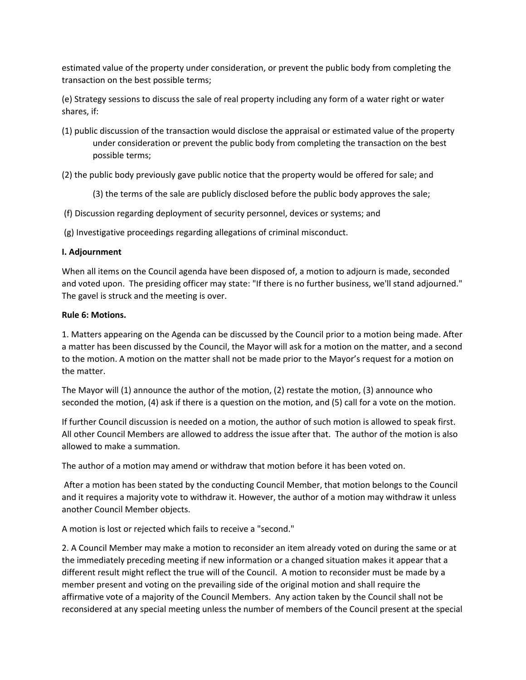estimated value of the property under consideration, or prevent the public body from completing the transaction on the best possible terms;

(e) Strategy sessions to discuss the sale of real property including any form of a water right or water shares, if:

- (1) public discussion of the transaction would disclose the appraisal or estimated value of the property under consideration or prevent the public body from completing the transaction on the best possible terms;
- (2) the public body previously gave public notice that the property would be offered for sale; and
	- (3) the terms of the sale are publicly disclosed before the public body approves the sale;
- (f) Discussion regarding deployment of security personnel, devices or systems; and
- (g) Investigative proceedings regarding allegations of criminal misconduct.

#### **I. Adjournment**

When all items on the Council agenda have been disposed of, a motion to adjourn is made, seconded and voted upon. The presiding officer may state: "If there is no further business, we'll stand adjourned." The gavel is struck and the meeting is over.

#### **Rule 6: Motions.**

1. Matters appearing on the Agenda can be discussed by the Council prior to a motion being made. After a matter has been discussed by the Council, the Mayor will ask for a motion on the matter, and a second to the motion. A motion on the matter shall not be made prior to the Mayor's request for a motion on the matter.

The Mayor will (1) announce the author of the motion, (2) restate the motion, (3) announce who seconded the motion, (4) ask if there is a question on the motion, and (5) call for a vote on the motion.

If further Council discussion is needed on a motion, the author of such motion is allowed to speak first. All other Council Members are allowed to address the issue after that. The author of the motion is also allowed to make a summation.

The author of a motion may amend or withdraw that motion before it has been voted on.

After a motion has been stated by the conducting Council Member, that motion belongs to the Council and it requires a majority vote to withdraw it. However, the author of a motion may withdraw it unless another Council Member objects.

A motion is lost or rejected which fails to receive a "second."

2. A Council Member may make a motion to reconsider an item already voted on during the same or at the immediately preceding meeting if new information or a changed situation makes it appear that a different result might reflect the true will of the Council. A motion to reconsider must be made by a member present and voting on the prevailing side of the original motion and shall require the affirmative vote of a majority of the Council Members. Any action taken by the Council shall not be reconsidered at any special meeting unless the number of members of the Council present at the special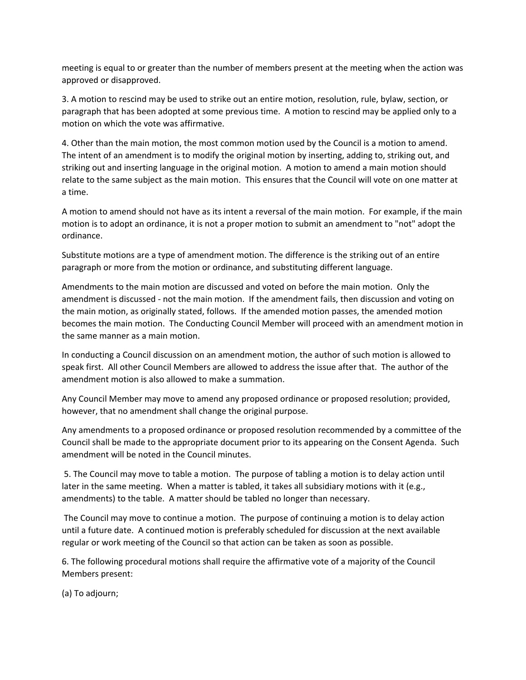meeting is equal to or greater than the number of members present at the meeting when the action was approved or disapproved.

3. A motion to rescind may be used to strike out an entire motion, resolution, rule, bylaw, section, or paragraph that has been adopted at some previous time. A motion to rescind may be applied only to a motion on which the vote was affirmative.

4. Other than the main motion, the most common motion used by the Council is a motion to amend. The intent of an amendment is to modify the original motion by inserting, adding to, striking out, and striking out and inserting language in the original motion. A motion to amend a main motion should relate to the same subject as the main motion. This ensures that the Council will vote on one matter at a time.

A motion to amend should not have as its intent a reversal of the main motion. For example, if the main motion is to adopt an ordinance, it is not a proper motion to submit an amendment to "not" adopt the ordinance.

Substitute motions are a type of amendment motion. The difference is the striking out of an entire paragraph or more from the motion or ordinance, and substituting different language.

Amendments to the main motion are discussed and voted on before the main motion. Only the amendment is discussed - not the main motion. If the amendment fails, then discussion and voting on the main motion, as originally stated, follows. If the amended motion passes, the amended motion becomes the main motion. The Conducting Council Member will proceed with an amendment motion in the same manner as a main motion.

In conducting a Council discussion on an amendment motion, the author of such motion is allowed to speak first. All other Council Members are allowed to address the issue after that. The author of the amendment motion is also allowed to make a summation.

Any Council Member may move to amend any proposed ordinance or proposed resolution; provided, however, that no amendment shall change the original purpose.

Any amendments to a proposed ordinance or proposed resolution recommended by a committee of the Council shall be made to the appropriate document prior to its appearing on the Consent Agenda. Such amendment will be noted in the Council minutes.

5. The Council may move to table a motion. The purpose of tabling a motion is to delay action until later in the same meeting. When a matter is tabled, it takes all subsidiary motions with it (e.g., amendments) to the table. A matter should be tabled no longer than necessary.

The Council may move to continue a motion. The purpose of continuing a motion is to delay action until a future date. A continued motion is preferably scheduled for discussion at the next available regular or work meeting of the Council so that action can be taken as soon as possible.

6. The following procedural motions shall require the affirmative vote of a majority of the Council Members present:

(a) To adjourn;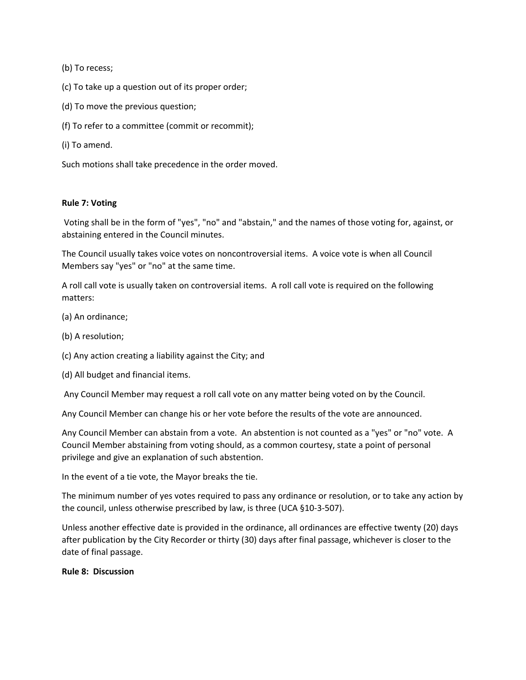(b) To recess;

- (c) To take up a question out of its proper order;
- (d) To move the previous question;
- (f) To refer to a committee (commit or recommit);
- (i) To amend.

Such motions shall take precedence in the order moved.

#### **Rule 7: Voting**

Voting shall be in the form of "yes", "no" and "abstain," and the names of those voting for, against, or abstaining entered in the Council minutes.

The Council usually takes voice votes on noncontroversial items. A voice vote is when all Council Members say "yes" or "no" at the same time.

A roll call vote is usually taken on controversial items. A roll call vote is required on the following matters:

- (a) An ordinance;
- (b) A resolution;
- (c) Any action creating a liability against the City; and
- (d) All budget and financial items.

Any Council Member may request a roll call vote on any matter being voted on by the Council.

Any Council Member can change his or her vote before the results of the vote are announced.

Any Council Member can abstain from a vote. An abstention is not counted as a "yes" or "no" vote. A Council Member abstaining from voting should, as a common courtesy, state a point of personal privilege and give an explanation of such abstention.

In the event of a tie vote, the Mayor breaks the tie.

The minimum number of yes votes required to pass any ordinance or resolution, or to take any action by the council, unless otherwise prescribed by law, is three (UCA §10-3-507).

Unless another effective date is provided in the ordinance, all ordinances are effective twenty (20) days after publication by the City Recorder or thirty (30) days after final passage, whichever is closer to the date of final passage.

#### **Rule 8: Discussion**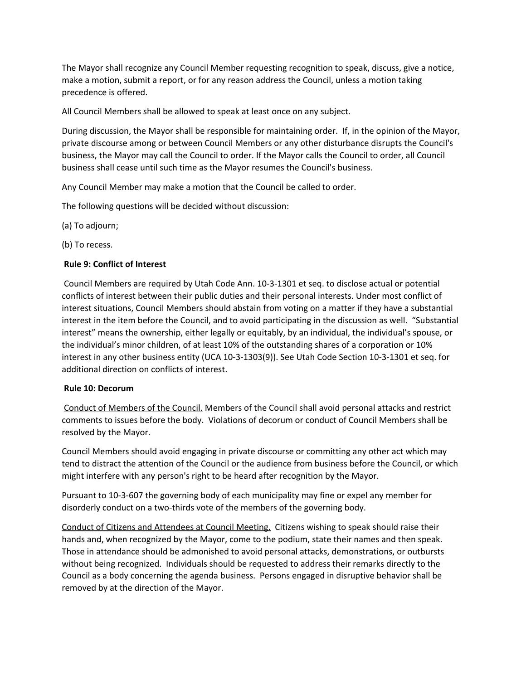The Mayor shall recognize any Council Member requesting recognition to speak, discuss, give a notice, make a motion, submit a report, or for any reason address the Council, unless a motion taking precedence is offered.

All Council Members shall be allowed to speak at least once on any subject.

During discussion, the Mayor shall be responsible for maintaining order. If, in the opinion of the Mayor, private discourse among or between Council Members or any other disturbance disrupts the Council's business, the Mayor may call the Council to order. If the Mayor calls the Council to order, all Council business shall cease until such time as the Mayor resumes the Council's business.

Any Council Member may make a motion that the Council be called to order.

The following questions will be decided without discussion:

(a) To adjourn;

(b) To recess.

#### **Rule 9: Conflict of Interest**

Council Members are required by Utah Code Ann. 10-3-1301 et seq. to disclose actual or potential conflicts of interest between their public duties and their personal interests. Under most conflict of interest situations, Council Members should abstain from voting on a matter if they have a substantial interest in the item before the Council, and to avoid participating in the discussion as well. "Substantial interest" means the ownership, either legally or equitably, by an individual, the individual's spouse, or the individual's minor children, of at least 10% of the outstanding shares of a corporation or 10% interest in any other business entity (UCA 10-3-1303(9)). See Utah Code Section 10-3-1301 et seq. for additional direction on conflicts of interest.

#### **Rule 10: Decorum**

Conduct of Members of the Council. Members of the Council shall avoid personal attacks and restrict comments to issues before the body. Violations of decorum or conduct of Council Members shall be resolved by the Mayor.

Council Members should avoid engaging in private discourse or committing any other act which may tend to distract the attention of the Council or the audience from business before the Council, or which might interfere with any person's right to be heard after recognition by the Mayor.

Pursuant to 10-3-607 the governing body of each municipality may fine or expel any member for disorderly conduct on a two-thirds vote of the members of the governing body.

Conduct of Citizens and Attendees at Council Meeting. Citizens wishing to speak should raise their hands and, when recognized by the Mayor, come to the podium, state their names and then speak. Those in attendance should be admonished to avoid personal attacks, demonstrations, or outbursts without being recognized. Individuals should be requested to address their remarks directly to the Council as a body concerning the agenda business. Persons engaged in disruptive behavior shall be removed by at the direction of the Mayor.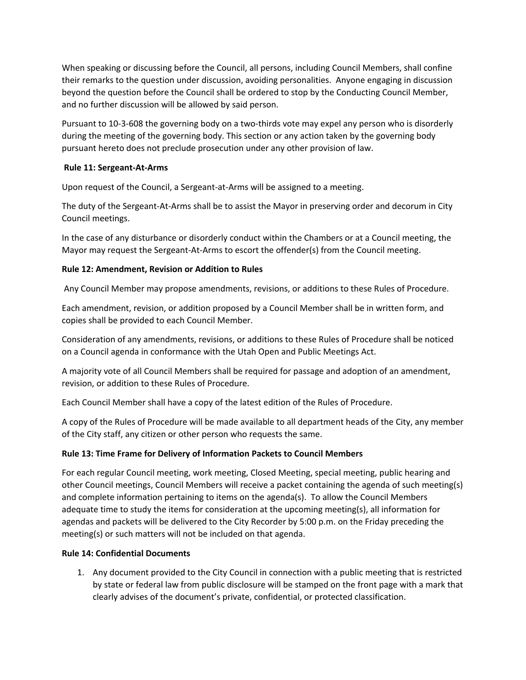When speaking or discussing before the Council, all persons, including Council Members, shall confine their remarks to the question under discussion, avoiding personalities. Anyone engaging in discussion beyond the question before the Council shall be ordered to stop by the Conducting Council Member, and no further discussion will be allowed by said person.

Pursuant to 10-3-608 the governing body on a two-thirds vote may expel any person who is disorderly during the meeting of the governing body. This section or any action taken by the governing body pursuant hereto does not preclude prosecution under any other provision of law.

# **Rule 11: Sergeant-At-Arms**

Upon request of the Council, a Sergeant-at-Arms will be assigned to a meeting.

The duty of the Sergeant-At-Arms shall be to assist the Mayor in preserving order and decorum in City Council meetings.

In the case of any disturbance or disorderly conduct within the Chambers or at a Council meeting, the Mayor may request the Sergeant-At-Arms to escort the offender(s) from the Council meeting.

# **Rule 12: Amendment, Revision or Addition to Rules**

Any Council Member may propose amendments, revisions, or additions to these Rules of Procedure.

Each amendment, revision, or addition proposed by a Council Member shall be in written form, and copies shall be provided to each Council Member.

Consideration of any amendments, revisions, or additions to these Rules of Procedure shall be noticed on a Council agenda in conformance with the Utah Open and Public Meetings Act.

A majority vote of all Council Members shall be required for passage and adoption of an amendment, revision, or addition to these Rules of Procedure.

Each Council Member shall have a copy of the latest edition of the Rules of Procedure.

A copy of the Rules of Procedure will be made available to all department heads of the City, any member of the City staff, any citizen or other person who requests the same.

# **Rule 13: Time Frame for Delivery of Information Packets to Council Members**

For each regular Council meeting, work meeting, Closed Meeting, special meeting, public hearing and other Council meetings, Council Members will receive a packet containing the agenda of such meeting(s) and complete information pertaining to items on the agenda(s). To allow the Council Members adequate time to study the items for consideration at the upcoming meeting(s), all information for agendas and packets will be delivered to the City Recorder by 5:00 p.m. on the Friday preceding the meeting(s) or such matters will not be included on that agenda.

#### **Rule 14: Confidential Documents**

1. Any document provided to the City Council in connection with a public meeting that is restricted by state or federal law from public disclosure will be stamped on the front page with a mark that clearly advises of the document's private, confidential, or protected classification.